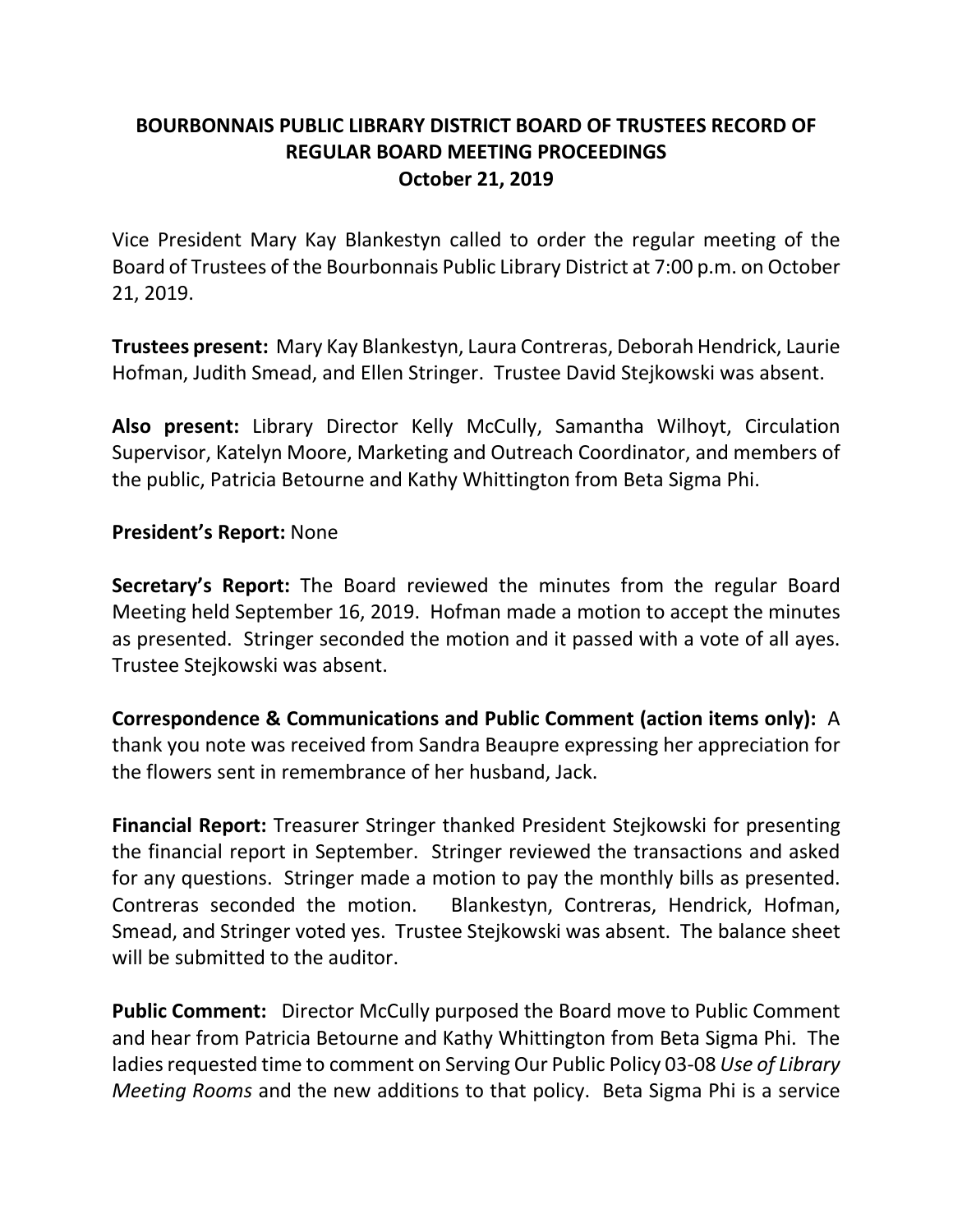## **BOURBONNAIS PUBLIC LIBRARY DISTRICT BOARD OF TRUSTEES RECORD OF REGULAR BOARD MEETING PROCEEDINGS October 21, 2019**

Vice President Mary Kay Blankestyn called to order the regular meeting of the Board of Trustees of the Bourbonnais Public Library District at 7:00 p.m. on October 21, 2019.

**Trustees present:** Mary Kay Blankestyn, Laura Contreras, Deborah Hendrick, Laurie Hofman, Judith Smead, and Ellen Stringer. Trustee David Stejkowski was absent.

**Also present:** Library Director Kelly McCully, Samantha Wilhoyt, Circulation Supervisor, Katelyn Moore, Marketing and Outreach Coordinator, and members of the public, Patricia Betourne and Kathy Whittington from Beta Sigma Phi.

#### **President's Report:** None

**Secretary's Report:** The Board reviewed the minutes from the regular Board Meeting held September 16, 2019. Hofman made a motion to accept the minutes as presented. Stringer seconded the motion and it passed with a vote of all ayes. Trustee Stejkowski was absent.

**Correspondence & Communications and Public Comment (action items only):** A thank you note was received from Sandra Beaupre expressing her appreciation for the flowers sent in remembrance of her husband, Jack.

**Financial Report:** Treasurer Stringer thanked President Stejkowski for presenting the financial report in September. Stringer reviewed the transactions and asked for any questions. Stringer made a motion to pay the monthly bills as presented. Contreras seconded the motion. Blankestyn, Contreras, Hendrick, Hofman, Smead, and Stringer voted yes. Trustee Stejkowski was absent. The balance sheet will be submitted to the auditor.

**Public Comment:** Director McCully purposed the Board move to Public Comment and hear from Patricia Betourne and Kathy Whittington from Beta Sigma Phi. The ladies requested time to comment on Serving Our Public Policy 03-08 *Use of Library Meeting Rooms* and the new additions to that policy. Beta Sigma Phi is a service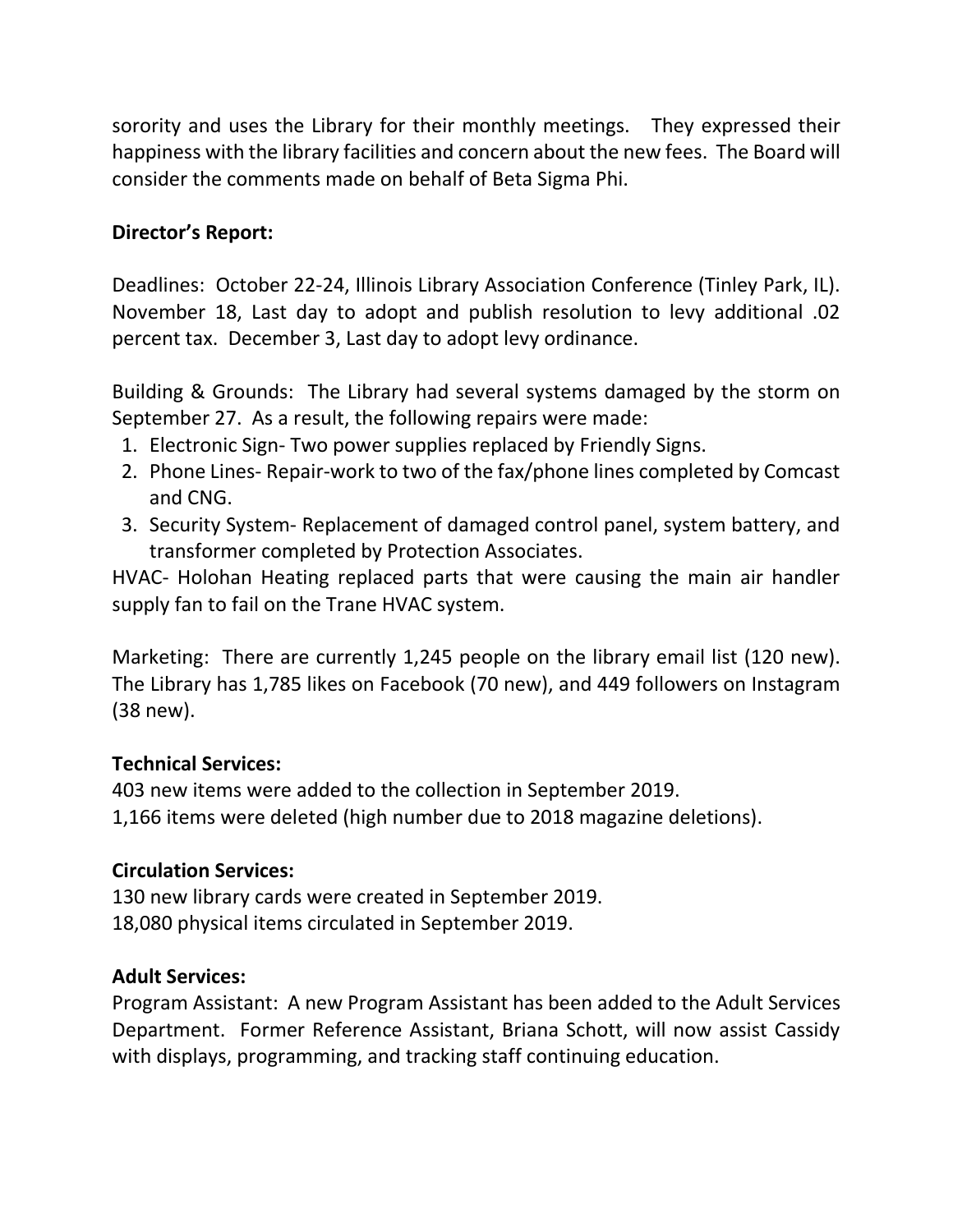sorority and uses the Library for their monthly meetings. They expressed their happiness with the library facilities and concern about the new fees. The Board will consider the comments made on behalf of Beta Sigma Phi.

### **Director's Report:**

Deadlines: October 22-24, Illinois Library Association Conference (Tinley Park, IL). November 18, Last day to adopt and publish resolution to levy additional .02 percent tax. December 3, Last day to adopt levy ordinance.

Building & Grounds: The Library had several systems damaged by the storm on September 27. As a result, the following repairs were made:

- 1. Electronic Sign- Two power supplies replaced by Friendly Signs.
- 2. Phone Lines- Repair-work to two of the fax/phone lines completed by Comcast and CNG.
- 3. Security System- Replacement of damaged control panel, system battery, and transformer completed by Protection Associates.

HVAC- Holohan Heating replaced parts that were causing the main air handler supply fan to fail on the Trane HVAC system.

Marketing: There are currently 1,245 people on the library email list (120 new). The Library has 1,785 likes on Facebook (70 new), and 449 followers on Instagram (38 new).

### **Technical Services:**

403 new items were added to the collection in September 2019. 1,166 items were deleted (high number due to 2018 magazine deletions).

# **Circulation Services:**

130 new library cards were created in September 2019. 18,080 physical items circulated in September 2019.

# **Adult Services:**

Program Assistant: A new Program Assistant has been added to the Adult Services Department. Former Reference Assistant, Briana Schott, will now assist Cassidy with displays, programming, and tracking staff continuing education.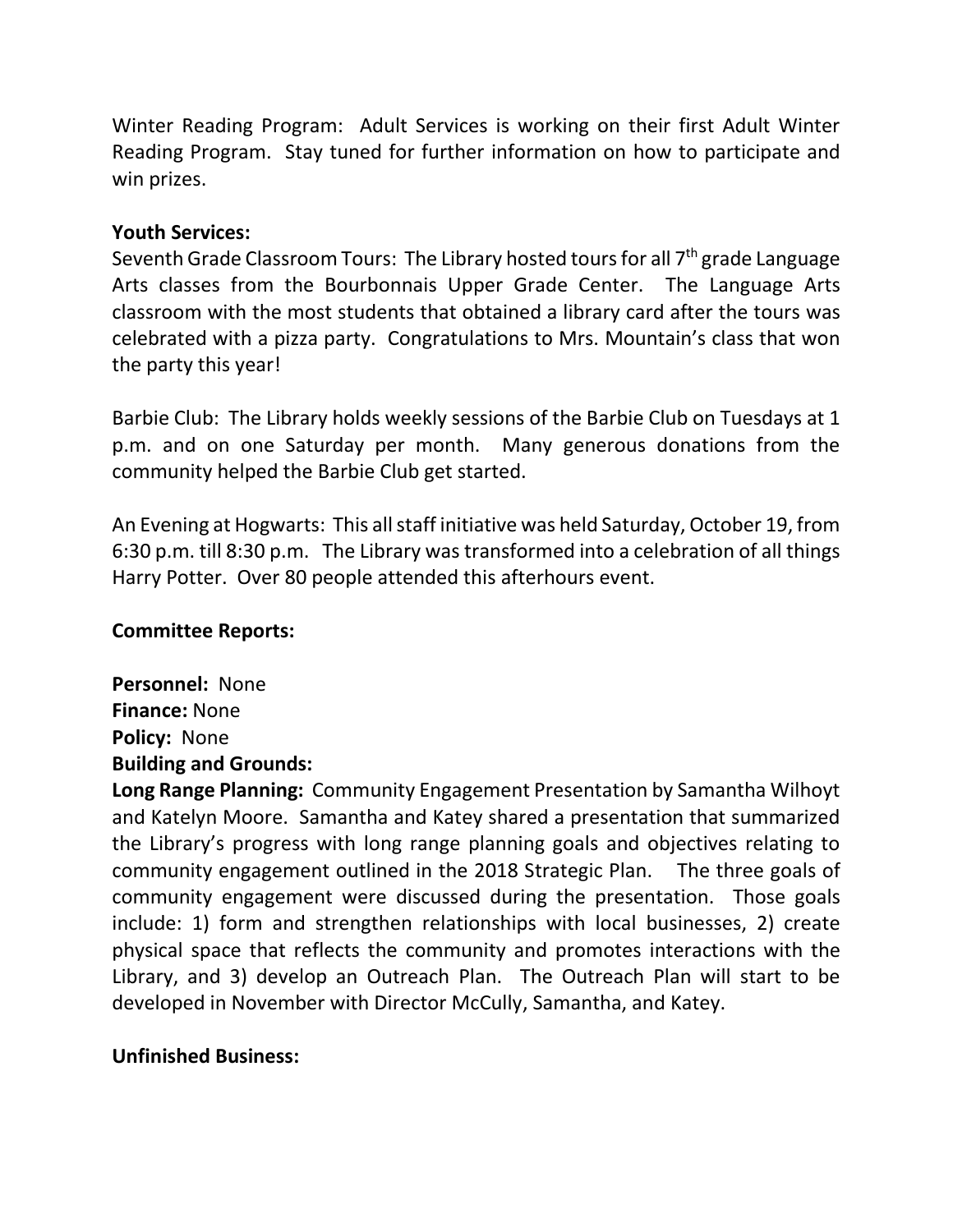Winter Reading Program: Adult Services is working on their first Adult Winter Reading Program. Stay tuned for further information on how to participate and win prizes.

### **Youth Services:**

Seventh Grade Classroom Tours: The Library hosted tours for all 7<sup>th</sup> grade Language Arts classes from the Bourbonnais Upper Grade Center. The Language Arts classroom with the most students that obtained a library card after the tours was celebrated with a pizza party. Congratulations to Mrs. Mountain's class that won the party this year!

Barbie Club: The Library holds weekly sessions of the Barbie Club on Tuesdays at 1 p.m. and on one Saturday per month. Many generous donations from the community helped the Barbie Club get started.

An Evening at Hogwarts: This all staff initiative was held Saturday, October 19, from 6:30 p.m. till 8:30 p.m. The Library was transformed into a celebration of all things Harry Potter. Over 80 people attended this afterhours event.

### **Committee Reports:**

**Personnel:** None **Finance:** None **Policy:** None **Building and Grounds:**

**Long Range Planning:** Community Engagement Presentation by Samantha Wilhoyt and Katelyn Moore. Samantha and Katey shared a presentation that summarized the Library's progress with long range planning goals and objectives relating to community engagement outlined in the 2018 Strategic Plan. The three goals of community engagement were discussed during the presentation. Those goals include: 1) form and strengthen relationships with local businesses, 2) create physical space that reflects the community and promotes interactions with the Library, and 3) develop an Outreach Plan. The Outreach Plan will start to be developed in November with Director McCully, Samantha, and Katey.

### **Unfinished Business:**